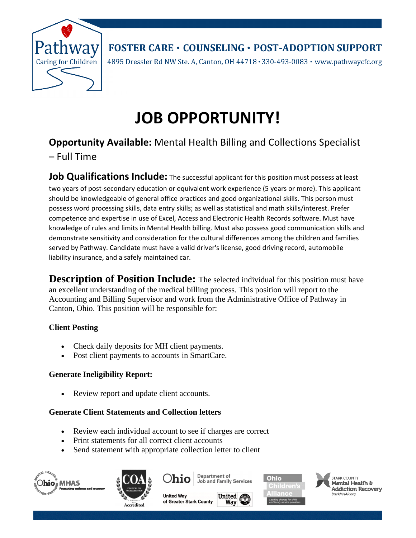

**FOSTER CARE · COUNSELING · POST-ADOPTION SUPPORT** 

4895 Dressler Rd NW Ste. A, Canton, OH 44718 · 330-493-0083 · www.pathwaycfc.org

# **JOB OPPORTUNITY!**

# **Opportunity Available:** Mental Health Billing and Collections Specialist

– Full Time

**Job Qualifications Include:** The successful applicant for this position must possess at least two years of post-secondary education or equivalent work experience (5 years or more). This applicant should be knowledgeable of general office practices and good organizational skills. This person must possess word processing skills, data entry skills; as well as statistical and math skills/interest. Prefer competence and expertise in use of Excel, Access and Electronic Health Records software. Must have knowledge of rules and limits in Mental Health billing. Must also possess good communication skills and demonstrate sensitivity and consideration for the cultural differences among the children and families served by Pathway. Candidate must have a valid driver's license, good driving record, automobile liability insurance, and a safely maintained car.

**Description of Position Include:** The selected individual for this position must have an excellent understanding of the medical billing process. This position will report to the Accounting and Billing Supervisor and work from the Administrative Office of Pathway in Canton, Ohio. This position will be responsible for:

## **Client Posting**

- Check daily deposits for MH client payments.
- Post client payments to accounts in SmartCare.

## **Generate Ineligibility Report:**

• Review report and update client accounts.

## **Generate Client Statements and Collection letters**

- Review each individual account to see if charges are correct
- Print statements for all correct client accounts
- Send statement with appropriate collection letter to client





Department of Ohio Job and Family Services

**United Way** of Greater Stark County